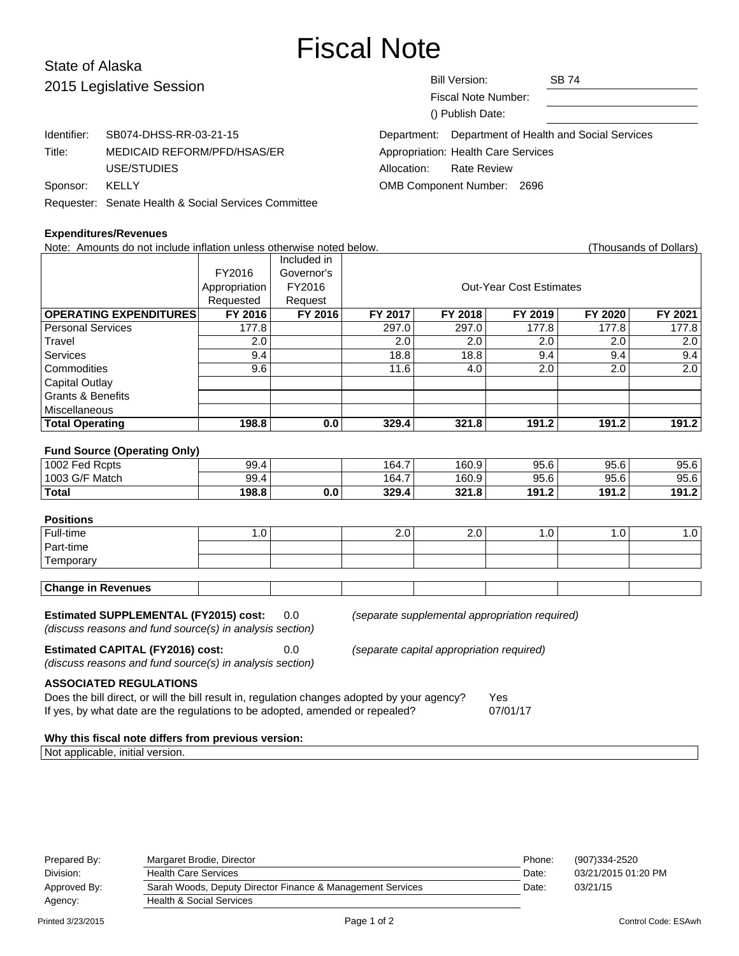# Fiscal Note

# State of Alaska 2015 Leg

| 2015 Legislative Session |                                                      | Bill Version:                                        | <b>SB 74</b> |
|--------------------------|------------------------------------------------------|------------------------------------------------------|--------------|
|                          |                                                      | <b>Fiscal Note Number:</b>                           |              |
|                          |                                                      | () Publish Date:                                     |              |
| Identifier:              | SB074-DHSS-RR-03-21-15                               | Department: Department of Health and Social Services |              |
| Title:                   | MEDICAID REFORM/PFD/HSAS/ER                          | Appropriation: Health Care Services                  |              |
|                          | USE/STUDIES                                          | <b>Rate Review</b><br>Allocation:                    |              |
| Sponsor:                 | KELLY                                                | OMB Component Number: 2696                           |              |
|                          | Requester: Senate Health & Social Services Committee |                                                      |              |

#### **Expenditures/Revenues**

Note: Amounts do not include inflation unless otherwise noted below. Thousands of Dollars) (Thousands of Dollars) Included in FY2016 Governor's Appropriation FY2016 | Research Cut-Year Cost Estimates Requested Request<br>FY 2016 FY 2016 **OPERATING EXPENDITURES FY 2016 FY 2016 FY 2017 FY 2018 FY 2019 FY 2020 FY 2021** Personal Services 177.8 177.8 297.0 297.0 177.8 177.8 177.8 Travel | 2.0 | 2.0 | 2.0 | 2.0 | 2.0 Services | 9.4 | | 18.8 | 18.8 | 9.4 | 9.4 | 9.4 Commodities | 9.6 | | 11.6 | 4.0 | 2.0 | 2.0 | 2.0 Capital Outlay Grants & Benefits Miscellaneous **Total Operating 198.8 0.0 329.4 321.8 191.2 191.2 191.2 Fund Source (Operating Only)** 1002 Fed Rcpts 199.4 164.7 | 164.7 | 160.9 | 95.6 | 95.6 | 95.6 1003 G/F Match 160.9 | 164.7 | 160.9 | 95.6 | 95.6 | 95.6 | 95.6 **Total 198.8 0.0 329.4 321.8 191.2 191.2 191.2 Positions** Full-time 1.0 2.0 2.0 1.0 1.0 1.0 Part-time **Temporary Change in Revenues**

**Estimated SUPPLEMENTAL (FY2015) cost:** 0.0 (separate supplemental appropriation required)

(discuss reasons and fund source(s) in analysis section)

**Estimated CAPITAL (FY2016) cost:** 0.0 (separate capital appropriation required) (discuss reasons and fund source(s) in analysis section)

**ASSOCIATED REGULATIONS**

Does the bill direct, or will the bill result in, regulation changes adopted by your agency? Yes If yes, by what date are the regulations to be adopted, amended or repealed? 07/01/17

#### **Why this fiscal note differs from previous version:**

Not applicable, initial version.

| Prepared By: | Margaret Brodie, Director                                  | Phone: | (907)334-2520       |
|--------------|------------------------------------------------------------|--------|---------------------|
| Division:    | <b>Health Care Services</b>                                | Date:  | 03/21/2015 01:20 PM |
| Approved By: | Sarah Woods, Deputy Director Finance & Management Services | Date:  | 03/21/15            |
| Agency:      | Health & Social Services                                   |        |                     |